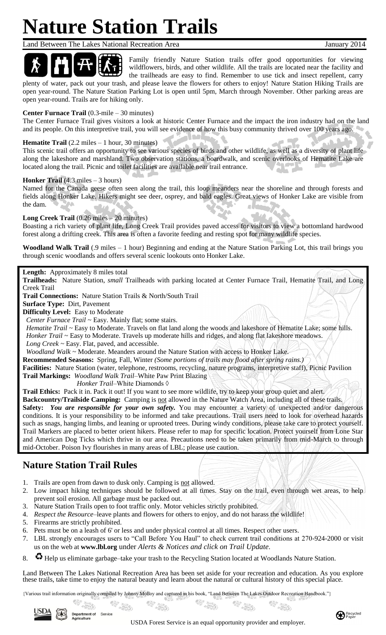# **Nature Station Trails**

Land Between The Lakes National Recreation Area January 2014



Family friendly Nature Station trails offer good opportunities for viewing wildflowers, birds, and other wildlife. All the trails are located near the facility and the trailheads are easy to find. Remember to use tick and insect repellent, carry plenty of water, pack out your trash, and please leave the flowers for others to enjoy! Nature Station Hiking Trails are

open year-round. The Nature Station Parking Lot is open until 5pm, March through November. Other parking areas are open year-round. Trails are for hiking only.

## **Center Furnace Trail** (0.3-mile – 30 minutes)

The Center Furnace Trail gives visitors a look at historic Center Furnace and the impact the iron industry had on the land and its people. On this interpretive trail, you will see evidence of how this busy community thrived over 100 years ago.

## **Hematite Trail** (2.2 miles – 1 hour, 30 minutes)

This scenic trail offers an opportunity to see various species of birds and other wildlife, as well as a diversity of plant life along the lakeshore and marshland. Two observation stations, a boardwalk, and scenic overlooks of Hematite Lake are located along the trail. Picnic and toilet facilities are available near trail entrance. n.

alan I

## **Honker Trail** (4.3 miles – 3 hours)

Named for the Canada geese often seen along the trail, this loop meanders near the shoreline and through forests and fields along Honker Lake. Hikers might see deer, osprey, and bald eagles. Great views of Honker Lake are visible from y. the dam. فعالم

## **Long Creek Trail** (0.26 miles – 20 minutes)

Boasting a rich variety of plant life, Long Creek Trail provides paved access for visitors to view a bottomland hardwood forest along a drifting creek. This area is often a favorite feeding and resting spot for many wildlife species.

**Woodland Walk Trail** (.9 miles – 1 hour) Beginning and ending at the Nature Station Parking Lot, this trail brings you through scenic woodlands and offers several scenic lookouts onto Honker Lake.

## **Length:** Approximately 8 miles total

**Trailheads:** Nature Station, *small* Trailheads with parking located at Center Furnace Trail, Hematite Trail, and Long Creek Trail

**Trail Connections:** Nature Station Trails & North/South Trail

**Surface Type:** Dirt, Pavement

**Difficulty Level:** Easy to Moderate

 *Center Furnace Trail ~* Easy. Mainly flat; some stairs.

*Hematite Trail* ~ Easy to Moderate. Travels on flat land along the woods and lakeshore of Hematite Lake; some hills. *Honker Trail ~ Easy to Moderate. Travels up moderate hills and ridges, and along flat lakeshore meadows.* 

 *Long Creek ~* Easy. Flat, paved, and accessible.

 *Woodland Walk ~* Moderate. Meanders around the Nature Station with access to Honker Lake.

**Recommended Seasons:** Spring, Fall, Winter *(Some portions of trails may flood after spring rains.)*

**Facilities:** Nature Station (water, telephone, restrooms, recycling, nature programs, interpretive staff), Picnic Pavilion **Trail Markings:** *Woodland Walk Trail*–White Paw Print Blazing

*Honker Trail*–White Diamonds ◊

**Trail Ethics:** Pack it in. Pack it out! If you want to see more wildlife, try to keep your group quiet and alert.

**Backcountry/Trailside Camping:** Camping is not allowed in the Nature Watch Area, including all of these trails. **Safety:** You are responsible for your own safety. You may encounter a variety of unexpected and/or dangerous conditions. It is your responsibility to be informed and take precautions. Trail users need to look for overhead hazards such as snags, hanging limbs, and leaning or uprooted trees. During windy conditions, please take care to protect yourself. Trail Markers are placed to better orient hikers. Please refer to map for specific location. Protect yourself from Lone Star and American Dog Ticks which thrive in our area. Precautions need to be taken primarily from mid-March to through mid-October. Poison Ivy flourishes in many areas of LBL; please use caution.

## **Nature Station Trail Rules**

- 1. Trails are open from dawn to dusk only. Camping is not allowed.
- 2. Low impact hiking techniques should be followed at all times. Stay on the trail, even through wet areas, to help prevent soil erosion. All garbage must be packed out.
- 3. Nature Station Trails open to foot traffic only. Motor vehicles strictly prohibited.
- 4. *Respect the Resource*–leave plants and flowers for others to enjoy, and do not harass the wildlife!
- 5. Firearms are strictly prohibited.
- 6. Pets must be on a leash of 6' or less and under physical control at all times. Respect other users.
- 7. LBL strongly encourages users to "Call Before You Haul" to check current trail conditions at 270-924-2000 or visit us on the web at **[www.lbl.org](http://www.lbl.org/)** under *Alerts & Notices and click on Trail Update*.
- 8.  $\bullet$  Help us eliminate garbage–take your trash to the Recycling Station located at Woodlands Nature Station.

Land Between The Lakes National Recreation Area has been set aside for your recreation and education. As you explore these trails, take time to enjoy the natural beauty and learn about the natural or cultural history of this special place.

{Various trail information originally compiled by Johnny Molloy and captured in his book, "Land Between The Lakes Outdoor Recreation Handbook."}**全部** 

 $\hat{z}$ 



USDA Forest Service is an equal opportunity provider and employer.

**1200**